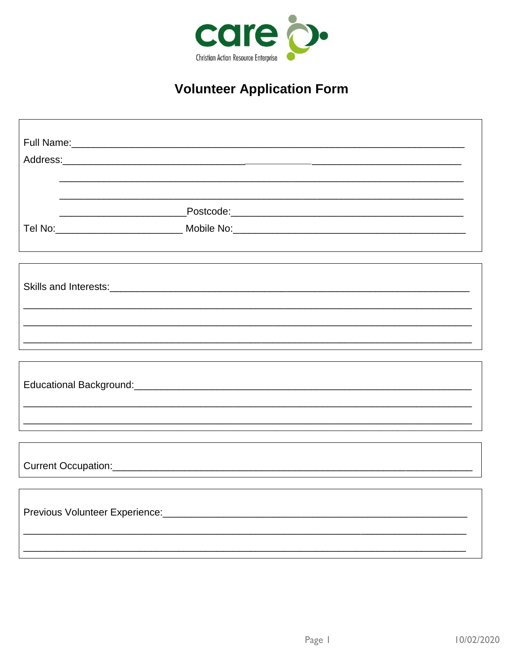

## **Volunteer Application Form**

| <u> 1989 - Johann John Stein, marwolaeth a bhaile an t-Amhainn an t-Amhainn an t-Amhainn an t-Amhainn an t-Amhain</u> |  |
|-----------------------------------------------------------------------------------------------------------------------|--|
|                                                                                                                       |  |
|                                                                                                                       |  |
| Tel No:_________________________________Mobile No:_______________________________                                     |  |
|                                                                                                                       |  |
|                                                                                                                       |  |
|                                                                                                                       |  |
|                                                                                                                       |  |
|                                                                                                                       |  |
|                                                                                                                       |  |
| <u> 1989 - Johann Harry Harry Harry Harry Harry Harry Harry Harry Harry Harry Harry Harry Harry Harry Harry Harry</u> |  |
|                                                                                                                       |  |
|                                                                                                                       |  |
|                                                                                                                       |  |
|                                                                                                                       |  |
|                                                                                                                       |  |
|                                                                                                                       |  |
|                                                                                                                       |  |
|                                                                                                                       |  |
|                                                                                                                       |  |
|                                                                                                                       |  |
|                                                                                                                       |  |
|                                                                                                                       |  |
|                                                                                                                       |  |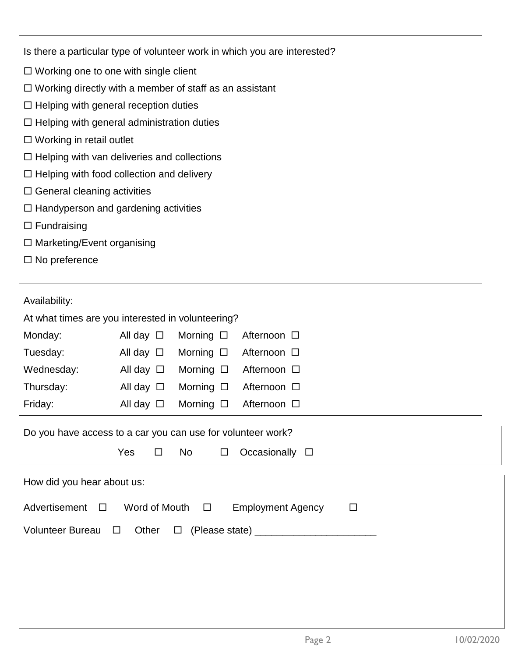|  |  |  |  | Is there a particular type of volunteer work in which you are interested? |
|--|--|--|--|---------------------------------------------------------------------------|
|  |  |  |  |                                                                           |
|  |  |  |  |                                                                           |

- □ Working one to one with single client
- Working directly with a member of staff as an assistant
- $\Box$  Helping with general reception duties
- $\Box$  Helping with general administration duties
- □ Working in retail outlet
- $\Box$  Helping with van deliveries and collections
- $\Box$  Helping with food collection and delivery
- $\square$  General cleaning activities
- $\Box$  Handyperson and gardening activities
- $\square$  Fundraising
- □ Marketing/Event organising
- $\square$  No preference

| Availability:                                                                                                                                                                  |                   |                   |             |  |  |  |  |  |
|--------------------------------------------------------------------------------------------------------------------------------------------------------------------------------|-------------------|-------------------|-------------|--|--|--|--|--|
| At what times are you interested in volunteering?                                                                                                                              |                   |                   |             |  |  |  |  |  |
| Monday:                                                                                                                                                                        | All day $\square$ | Morning $\square$ | Afternoon □ |  |  |  |  |  |
| Tuesday:                                                                                                                                                                       | All day $\Box$    | Morning $\square$ | Afternoon □ |  |  |  |  |  |
| Wednesday:                                                                                                                                                                     | All day $\square$ | Morning $\square$ | Afternoon □ |  |  |  |  |  |
| Thursday:                                                                                                                                                                      | All day $\Box$    | Morning $\square$ | Afternoon □ |  |  |  |  |  |
| Friday:                                                                                                                                                                        | All day $\square$ | Morning $\square$ | Afternoon □ |  |  |  |  |  |
| Do you have access to a car you can use for volunteer work?<br><b>Yes</b><br>Occasionally $\square$<br><b>No</b><br>$\Box$<br>$\Box$                                           |                   |                   |             |  |  |  |  |  |
| How did you hear about us:<br>Advertisement<br>Word of Mouth $\square$<br><b>Employment Agency</b><br>$\Box$<br>$\Box$<br><b>Volunteer Bureau</b><br>Other<br>$\Box$<br>$\Box$ |                   |                   |             |  |  |  |  |  |
|                                                                                                                                                                                |                   |                   |             |  |  |  |  |  |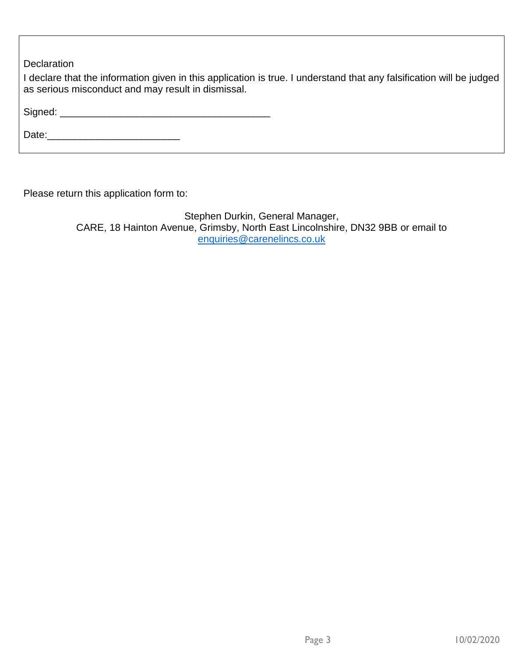**Declaration** 

I declare that the information given in this application is true. I understand that any falsification will be judged as serious misconduct and may result in dismissal.

Signed: \_\_\_\_\_\_\_\_\_\_\_\_\_\_\_\_\_\_\_\_\_\_\_\_\_\_\_\_\_\_\_\_\_\_\_\_\_\_

Date:\_\_\_\_\_\_\_\_\_\_\_\_\_\_\_\_\_\_\_\_\_\_\_\_

Please return this application form to:

Stephen Durkin, General Manager, CARE, 18 Hainton Avenue, Grimsby, North East Lincolnshire, DN32 9BB or email to [enquiries@carenelincs.co.uk](mailto:enquiries@carenelincs.co.uk)